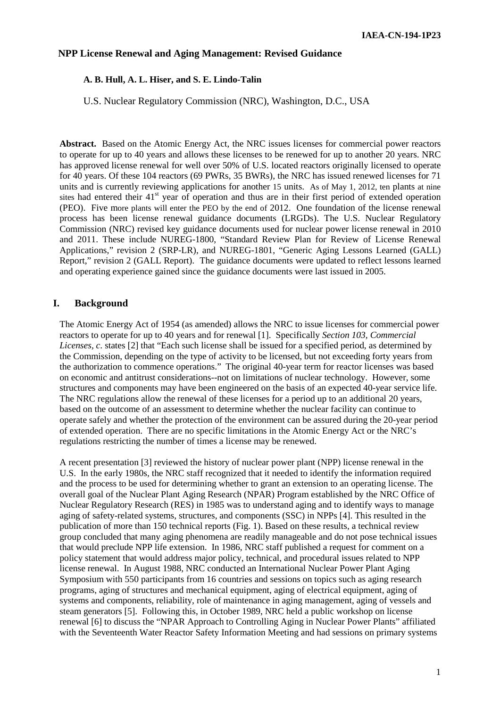## **NPP License Renewal and Aging Management: Revised Guidance**

### **A. B. Hull, A. L. Hiser, and S. E. Lindo-Talin**

#### U.S. Nuclear Regulatory Commission (NRC), Washington, D.C., USA

**Abstract.** Based on the Atomic Energy Act, the NRC issues licenses for commercial power reactors to operate for up to 40 years and allows these licenses to be renewed for up to another 20 years. NRC has approved license renewal for well over 50% of U.S. located reactors originally licensed to operate for 40 years. Of these 104 reactors (69 PWRs, 35 BWRs), the NRC has issued renewed licenses for 71 units and is currently reviewing applications for another 15 units. As of May 1, 2012, ten plants at nine sites had entered their  $41<sup>st</sup>$  year of operation and thus are in their first period of extended operation (PEO). Five more plants will enter the PEO by the end of 2012. One foundation of the license renewal process has been license renewal guidance documents (LRGDs). The U.S. Nuclear Regulatory Commission (NRC) revised key guidance documents used for nuclear power license renewal in 2010 and 2011. These include NUREG-1800, "Standard Review Plan for Review of License Renewal Applications," revision 2 (SRP-LR), and NUREG-1801, "Generic Aging Lessons Learned (GALL) Report," revision 2 (GALL Report). The guidance documents were updated to reflect lessons learned and operating experience gained since the guidance documents were last issued in 2005.

### **I. Background**

The Atomic Energy Act of 1954 (as amended) allows the NRC to issue licenses for commercial power reactors to operate for up to 40 years and for renewal [1]. Specifically *Section 103, Commercial Licenses, c*. states [2] that "Each such license shall be issued for a specified period, as determined by the Commission, depending on the type of activity to be licensed, but not exceeding forty years from the authorization to commence operations." The original 40-year term for reactor licenses was based on economic and antitrust considerations--not on limitations of nuclear technology. However, some structures and components may have been engineered on the basis of an expected 40-year service life. The NRC regulations allow the renewal of these licenses for a period up to an additional 20 years, based on the outcome of an assessment to determine whether the nuclear facility can continue to operate safely and whether the protection of the environment can be assured during the 20-year period of extended operation. There are no specific limitations in the Atomic Energy Act or the NRC's regulations restricting the number of times a license may be renewed.

A recent presentation [3] reviewed the history of nuclear power plant (NPP) license renewal in the U.S. In the early 1980s, the NRC staff recognized that it needed to identify the information required and the process to be used for determining whether to grant an extension to an operating license. The overall goal of the Nuclear Plant Aging Research (NPAR) Program established by the NRC Office of Nuclear Regulatory Research (RES) in 1985 was to understand aging and to identify ways to manage aging of safety-related systems, structures, and components (SSC) in NPPs [4]. This resulted in the publication of more than 150 technical reports (Fig. 1). Based on these results, a technical review group concluded that many aging phenomena are readily manageable and do not pose technical issues that would preclude NPP life extension. In 1986, NRC staff published a request for comment on a policy statement that would address major policy, technical, and procedural issues related to NPP license renewal. In August 1988, NRC conducted an International Nuclear Power Plant Aging Symposium with 550 participants from 16 countries and sessions on topics such as aging research programs, aging of structures and mechanical equipment, aging of electrical equipment, aging of systems and components, reliability, role of maintenance in aging management, aging of vessels and steam generators [5]. Following this, in October 1989, NRC held a public workshop on license renewal [6] to discuss the "NPAR Approach to Controlling Aging in Nuclear Power Plants" affiliated with the Seventeenth Water Reactor Safety Information Meeting and had sessions on primary systems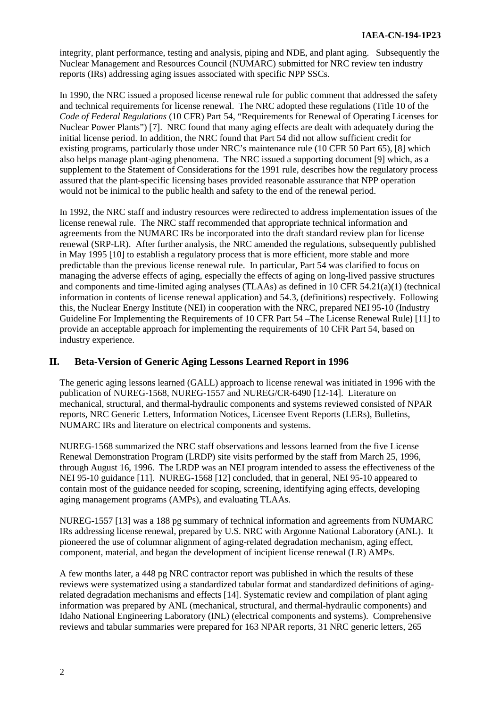integrity, plant performance, testing and analysis, piping and NDE, and plant aging. Subsequently the Nuclear Management and Resources Council (NUMARC) submitted for NRC review ten industry reports (IRs) addressing aging issues associated with specific NPP SSCs.

In 1990, the NRC issued a proposed license renewal rule for public comment that addressed the safety and technical requirements for license renewal. The NRC adopted these regulations (Title 10 of the *Code of Federal Regulations* (10 CFR) Part 54, "Requirements for Renewal of Operating Licenses for Nuclear Power Plants") [7]. NRC found that many aging effects are dealt with adequately during the initial license period. In addition, the NRC found that Part 54 did not allow sufficient credit for existing programs, particularly those under NRC's maintenance rule (10 CFR 50 Part 65), [8] which also helps manage plant-aging phenomena. The NRC issued a supporting document [9] which, as a supplement to the Statement of Considerations for the 1991 rule, describes how the regulatory process assured that the plant-specific licensing bases provided reasonable assurance that NPP operation would not be inimical to the public health and safety to the end of the renewal period.

In 1992, the NRC staff and industry resources were redirected to address implementation issues of the license renewal rule. The NRC staff recommended that appropriate technical information and agreements from the NUMARC IRs be incorporated into the draft standard review plan for license renewal (SRP-LR). After further analysis, the NRC amended the regulations, subsequently published in May 1995 [10] to establish a regulatory process that is more efficient, more stable and more predictable than the previous license renewal rule. In particular, Part 54 was clarified to focus on managing the adverse effects of aging, especially the effects of aging on long-lived passive structures and components and time-limited aging analyses (TLAAs) as defined in 10 CFR 54.21(a)(1) (technical information in contents of license renewal application) and 54.3, (definitions) respectively. Following this, the Nuclear Energy Institute (NEI) in cooperation with the NRC, prepared NEI 95-10 (Industry Guideline For Implementing the Requirements of 10 CFR Part 54 –The License Renewal Rule) [11] to provide an acceptable approach for implementing the requirements of 10 CFR Part 54, based on industry experience.

# **II. Beta-Version of Generic Aging Lessons Learned Report in 1996**

The generic aging lessons learned (GALL) approach to license renewal was initiated in 1996 with the publication of NUREG-1568, NUREG-1557 and NUREG/CR-6490 [12-14]. Literature on mechanical, structural, and thermal-hydraulic components and systems reviewed consisted of NPAR reports, NRC Generic Letters, Information Notices, Licensee Event Reports (LERs), Bulletins, NUMARC IRs and literature on electrical components and systems.

NUREG-1568 summarized the NRC staff observations and lessons learned from the five License Renewal Demonstration Program (LRDP) site visits performed by the staff from March 25, 1996, through August 16, 1996. The LRDP was an NEI program intended to assess the effectiveness of the NEI 95-10 guidance [11]. NUREG-1568 [12] concluded, that in general, NEI 95-10 appeared to contain most of the guidance needed for scoping, screening, identifying aging effects, developing aging management programs (AMPs), and evaluating TLAAs.

NUREG-1557 [13] was a 188 pg summary of technical information and agreements from NUMARC IRs addressing license renewal, prepared by U.S. NRC with Argonne National Laboratory (ANL). It pioneered the use of columnar alignment of aging-related degradation mechanism, aging effect, component, material, and began the development of incipient license renewal (LR) AMPs.

A few months later, a 448 pg NRC contractor report was published in which the results of these reviews were systematized using a standardized tabular format and standardized definitions of agingrelated degradation mechanisms and effects [14]. Systematic review and compilation of plant aging information was prepared by ANL (mechanical, structural, and thermal-hydraulic components) and Idaho National Engineering Laboratory (INL) (electrical components and systems). Comprehensive reviews and tabular summaries were prepared for 163 NPAR reports, 31 NRC generic letters, 265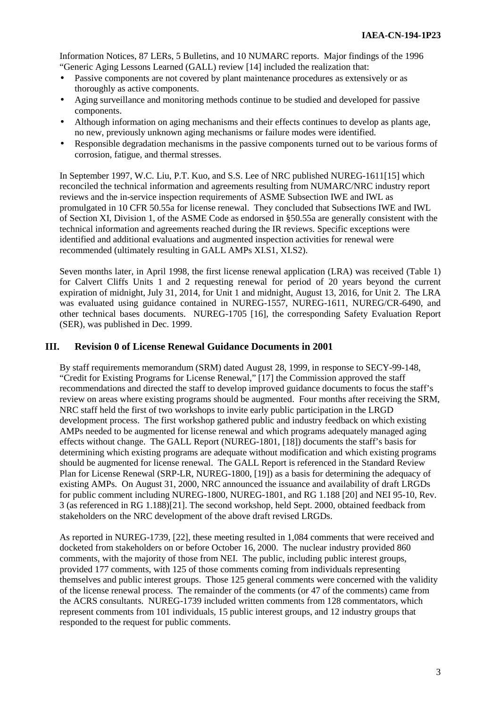Information Notices, 87 LERs, 5 Bulletins, and 10 NUMARC reports. Major findings of the 1996 "Generic Aging Lessons Learned (GALL) review [14] included the realization that:

- Passive components are not covered by plant maintenance procedures as extensively or as thoroughly as active components.
- Aging surveillance and monitoring methods continue to be studied and developed for passive components.
- Although information on aging mechanisms and their effects continues to develop as plants age, no new, previously unknown aging mechanisms or failure modes were identified.
- Responsible degradation mechanisms in the passive components turned out to be various forms of corrosion, fatigue, and thermal stresses.

In September 1997, W.C. Liu, P.T. Kuo, and S.S. Lee of NRC published NUREG-1611[15] which reconciled the technical information and agreements resulting from NUMARC/NRC industry report reviews and the in-service inspection requirements of ASME Subsection IWE and IWL as promulgated in 10 CFR 50.55a for license renewal. They concluded that Subsections IWE and IWL of Section XI, Division 1, of the ASME Code as endorsed in §50.55a are generally consistent with the technical information and agreements reached during the IR reviews. Specific exceptions were identified and additional evaluations and augmented inspection activities for renewal were recommended (ultimately resulting in GALL AMPs XI.S1, XI.S2).

Seven months later, in April 1998, the first license renewal application (LRA) was received (Table 1) for Calvert Cliffs Units 1 and 2 requesting renewal for period of 20 years beyond the current expiration of midnight, July 31, 2014, for Unit 1 and midnight, August 13, 2016, for Unit 2. The LRA was evaluated using guidance contained in NUREG-1557, NUREG-1611, NUREG/CR-6490, and other technical bases documents. NUREG-1705 [16], the corresponding Safety Evaluation Report (SER), was published in Dec. 1999.

## **III. Revision 0 of License Renewal Guidance Documents in 2001**

By staff requirements memorandum (SRM) dated August 28, 1999, in response to SECY-99-148, "Credit for Existing Programs for License Renewal," [17] the Commission approved the staff recommendations and directed the staff to develop improved guidance documents to focus the staff's review on areas where existing programs should be augmented. Four months after receiving the SRM, NRC staff held the first of two workshops to invite early public participation in the LRGD development process. The first workshop gathered public and industry feedback on which existing AMPs needed to be augmented for license renewal and which programs adequately managed aging effects without change. The GALL Report (NUREG-1801, [18]) documents the staff's basis for determining which existing programs are adequate without modification and which existing programs should be augmented for license renewal. The GALL Report is referenced in the Standard Review Plan for License Renewal (SRP-LR, NUREG-1800, [19]) as a basis for determining the adequacy of existing AMPs. On August 31, 2000, NRC announced the issuance and availability of draft LRGDs for public comment including NUREG-1800, NUREG-1801, and RG 1.188 [20] and NEI 95-10, Rev. 3 (as referenced in RG 1.188)[21]. The second workshop, held Sept. 2000, obtained feedback from stakeholders on the NRC development of the above draft revised LRGDs.

As reported in NUREG-1739, [22], these meeting resulted in 1,084 comments that were received and docketed from stakeholders on or before October 16, 2000. The nuclear industry provided 860 comments, with the majority of those from NEI. The public, including public interest groups, provided 177 comments, with 125 of those comments coming from individuals representing themselves and public interest groups. Those 125 general comments were concerned with the validity of the license renewal process. The remainder of the comments (or 47 of the comments) came from the ACRS consultants. NUREG-1739 included written comments from 128 commentators, which represent comments from 101 individuals, 15 public interest groups, and 12 industry groups that responded to the request for public comments.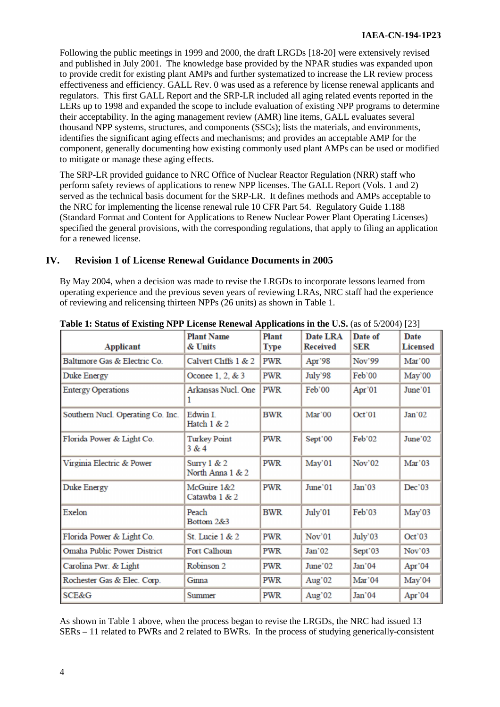Following the public meetings in 1999 and 2000, the draft LRGDs [18-20] were extensively revised and published in July 2001. The knowledge base provided by the NPAR studies was expanded upon to provide credit for existing plant AMPs and further systematized to increase the LR review process effectiveness and efficiency. GALL Rev. 0 was used as a reference by license renewal applicants and regulators. This first GALL Report and the SRP-LR included all aging related events reported in the LERs up to 1998 and expanded the scope to include evaluation of existing NPP programs to determine their acceptability. In the aging management review (AMR) line items, GALL evaluates several thousand NPP systems, structures, and components (SSCs); lists the materials, and environments, identifies the significant aging effects and mechanisms; and provides an acceptable AMP for the component, generally documenting how existing commonly used plant AMPs can be used or modified to mitigate or manage these aging effects.

The SRP-LR provided guidance to NRC Office of Nuclear Reactor Regulation (NRR) staff who perform safety reviews of applications to renew NPP licenses. The GALL Report (Vols. 1 and 2) served as the technical basis document for the SRP-LR. It defines methods and AMPs acceptable to the NRC for implementing the license renewal rule 10 CFR Part 54. Regulatory Guide 1.188 (Standard Format and Content for Applications to Renew Nuclear Power Plant Operating Licenses) specified the general provisions, with the corresponding regulations, that apply to filing an application for a renewed license.

# **IV. Revision 1 of License Renewal Guidance Documents in 2005**

By May 2004, when a decision was made to revise the LRGDs to incorporate lessons learned from operating experience and the previous seven years of reviewing LRAs, NRC staff had the experience of reviewing and relicensing thirteen NPPs (26 units) as shown in Table 1.

| <b>Applicant</b>                   | <b>Plant Name</b><br>& Units      | Plant<br><b>Type</b> | Date LRA<br>Received | Date of<br>SER       | <b>Date</b><br><b>Licensed</b> |
|------------------------------------|-----------------------------------|----------------------|----------------------|----------------------|--------------------------------|
| Baltimore Gas & Electric Co.       | Calvert Cliffs 1 & 2              | PWR                  | Apr $398$            | Nov'99               | Mar'00                         |
| Duke Energy                        | Oconee 1, 2, & 3                  | PWR                  | July'98              | Feb'00               | May'00                         |
| <b>Entergy Operations</b>          | Arkansas Nucl. One<br>1           | <b>PWR</b>           | Feb'00               | Apr'01               | June'01                        |
| Southern Nucl. Operating Co. Inc.  | Edwin I.<br>Hatch $1 & 2$         | <b>BWR</b>           | Mar'00               | Oct'01               | Jan'02                         |
| Florida Power & Light Co.          | <b>Turkey Point</b><br>3 & 4      | <b>PWR</b>           | Sept'00              | Feb'02               | June'02                        |
| Virginia Electric & Power          | Surry $1 & 2$<br>North Anna 1 & 2 | <b>PWR</b>           | May'01               | Nov <sup>3</sup> 02  | Mar'03                         |
| Duke Energy                        | McGuire 1&2<br>Catawba 1 & 2      | <b>PWR</b>           | June'01              | Jan'03               | Dec'03                         |
| Exelon                             | Peach<br>Bottom 2&3               | <b>BWR</b>           | July'01              | Feb'03               | May'03                         |
| Florida Power & Light Co.          | St. Lucie 1 & 2                   | PWR                  | Nov'01               | July <sup>3</sup> 03 | Oct'03                         |
| <b>Omaha Public Power District</b> | Fort Calhoun                      | PWR                  | Jan <sup>2</sup> 02  | Sept'03              | Nov <sup>3</sup> 03            |
| Carolina Pwr. & Light              | Robinson 2                        | PWR                  | June <sup>3</sup> 02 | Jan <sup>2</sup> 04  | Apr'04                         |
| Rochester Gas & Elec. Corp.        | Ginna                             | PWR                  | Aug $^{\circ}$ 02    | Mar'04               | May'04                         |
| <b>SCE&amp;G</b>                   | Summer                            | PWR                  | Aug'02               | Jan'04               | Apr'04                         |

## **Table 1: Status of Existing NPP License Renewal Applications in the U.S.** (as of 5/2004) [23]

As shown in Table 1 above, when the process began to revise the LRGDs, the NRC had issued 13 SERs – 11 related to PWRs and 2 related to BWRs. In the process of studying generically-consistent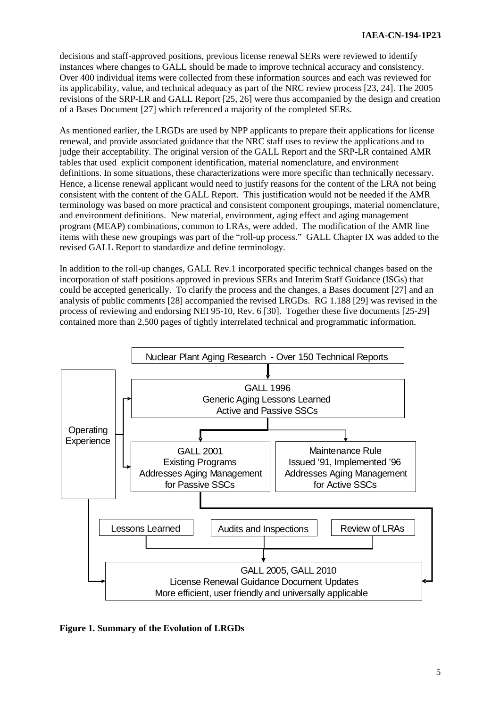decisions and staff-approved positions, previous license renewal SERs were reviewed to identify instances where changes to GALL should be made to improve technical accuracy and consistency. Over 400 individual items were collected from these information sources and each was reviewed for its applicability, value, and technical adequacy as part of the NRC review process [23, 24]. The 2005 revisions of the SRP-LR and GALL Report [25, 26] were thus accompanied by the design and creation of a Bases Document [27] which referenced a majority of the completed SERs.

As mentioned earlier, the LRGDs are used by NPP applicants to prepare their applications for license renewal, and provide associated guidance that the NRC staff uses to review the applications and to judge their acceptability. The original version of the GALL Report and the SRP-LR contained AMR tables that used explicit component identification, material nomenclature, and environment definitions. In some situations, these characterizations were more specific than technically necessary. Hence, a license renewal applicant would need to justify reasons for the content of the LRA not being consistent with the content of the GALL Report. This justification would not be needed if the AMR terminology was based on more practical and consistent component groupings, material nomenclature, and environment definitions. New material, environment, aging effect and aging management program (MEAP) combinations, common to LRAs, were added. The modification of the AMR line items with these new groupings was part of the "roll-up process." GALL Chapter IX was added to the revised GALL Report to standardize and define terminology.

In addition to the roll-up changes, GALL Rev.1 incorporated specific technical changes based on the incorporation of staff positions approved in previous SERs and Interim Staff Guidance (ISGs) that could be accepted generically. To clarify the process and the changes, a Bases document [27] and an analysis of public comments [28] accompanied the revised LRGDs. RG 1.188 [29] was revised in the process of reviewing and endorsing NEI 95-10, Rev. 6 [30]. Together these five documents [25-29] contained more than 2,500 pages of tightly interrelated technical and programmatic information.



**Figure 1. Summary of the Evolution of LRGDs**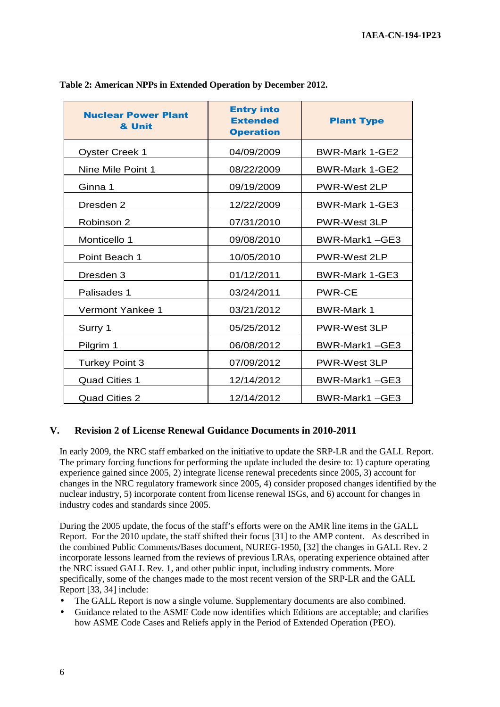| <b>Nuclear Power Plant</b><br>& Unit | <b>Entry into</b><br><b>Extended</b><br><b>Operation</b> | <b>Plant Type</b>     |
|--------------------------------------|----------------------------------------------------------|-----------------------|
| <b>Oyster Creek 1</b>                | 04/09/2009                                               | <b>BWR-Mark 1-GE2</b> |
| Nine Mile Point 1                    | 08/22/2009                                               | BWR-Mark 1-GE2        |
| Ginna 1                              | 09/19/2009                                               | PWR-West 2LP          |
| Dresden 2                            | 12/22/2009                                               | <b>BWR-Mark 1-GE3</b> |
| Robinson 2                           | 07/31/2010                                               | PWR-West 3LP          |
| Monticello 1                         | 09/08/2010                                               | BWR-Mark1-GE3         |
| Point Beach 1                        | 10/05/2010                                               | <b>PWR-West 2LP</b>   |
| Dresden 3                            | 01/12/2011                                               | <b>BWR-Mark 1-GE3</b> |
| Palisades 1                          | 03/24/2011                                               | <b>PWR-CE</b>         |
| Vermont Yankee 1                     | 03/21/2012                                               | <b>BWR-Mark 1</b>     |
| Surry 1                              | 05/25/2012                                               | PWR-West 3LP          |
| Pilgrim 1                            | 06/08/2012                                               | BWR-Mark1-GE3         |
| <b>Turkey Point 3</b>                | 07/09/2012                                               | <b>PWR-West 3LP</b>   |
| <b>Quad Cities 1</b>                 | 12/14/2012                                               | BWR-Mark1-GE3         |
| <b>Quad Cities 2</b>                 | 12/14/2012                                               | BWR-Mark1-GE3         |

**Table 2: American NPPs in Extended Operation by December 2012.** 

## **V. Revision 2 of License Renewal Guidance Documents in 2010-2011**

In early 2009, the NRC staff embarked on the initiative to update the SRP-LR and the GALL Report. The primary forcing functions for performing the update included the desire to: 1) capture operating experience gained since 2005, 2) integrate license renewal precedents since 2005, 3) account for changes in the NRC regulatory framework since 2005, 4) consider proposed changes identified by the nuclear industry, 5) incorporate content from license renewal ISGs, and 6) account for changes in industry codes and standards since 2005.

During the 2005 update, the focus of the staff's efforts were on the AMR line items in the GALL Report. For the 2010 update, the staff shifted their focus [31] to the AMP content. As described in the combined Public Comments/Bases document, NUREG-1950, [32] the changes in GALL Rev. 2 incorporate lessons learned from the reviews of previous LRAs, operating experience obtained after the NRC issued GALL Rev. 1, and other public input, including industry comments. More specifically, some of the changes made to the most recent version of the SRP-LR and the GALL Report [33, 34] include:

- The GALL Report is now a single volume. Supplementary documents are also combined.
- Guidance related to the ASME Code now identifies which Editions are acceptable; and clarifies how ASME Code Cases and Reliefs apply in the Period of Extended Operation (PEO).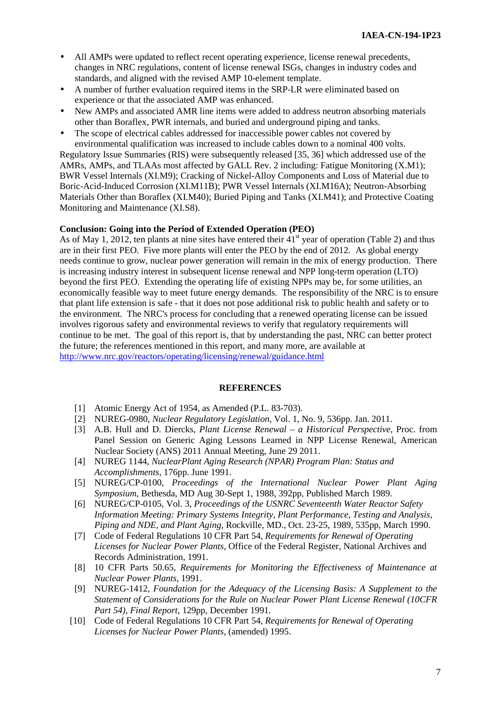- All AMPs were updated to reflect recent operating experience, license renewal precedents, changes in NRC regulations, content of license renewal ISGs, changes in industry codes and standards, and aligned with the revised AMP 10-element template.
- A number of further evaluation required items in the SRP-LR were eliminated based on experience or that the associated AMP was enhanced.
- New AMPs and associated AMR line items were added to address neutron absorbing materials other than Boraflex, PWR internals, and buried and underground piping and tanks.
- The scope of electrical cables addressed for inaccessible power cables not covered by environmental qualification was increased to include cables down to a nominal 400 volts.

Regulatory Issue Summaries (RIS) were subsequently released [35, 36] which addressed use of the AMRs, AMPs, and TLAAs most affected by GALL Rev. 2 including: Fatigue Monitoring (X.M1); BWR Vessel Internals (XI.M9); Cracking of Nickel-Alloy Components and Loss of Material due to Boric-Acid-Induced Corrosion (XI.M11B); PWR Vessel Internals (XI.M16A); Neutron-Absorbing Materials Other than Boraflex (XI.M40); Buried Piping and Tanks (XI.M41); and Protective Coating Monitoring and Maintenance (XI.S8).

### **Conclusion: Going into the Period of Extended Operation (PEO)**

As of May 1, 2012, ten plants at nine sites have entered their  $41<sup>st</sup>$  year of operation (Table 2) and thus are in their first PEO. Five more plants will enter the PEO by the end of 2012. As global energy needs continue to grow, nuclear power generation will remain in the mix of energy production. There is increasing industry interest in subsequent license renewal and NPP long-term operation (LTO) beyond the first PEO. Extending the operating life of existing NPPs may be, for some utilities, an economically feasible way to meet future energy demands. The responsibility of the NRC is to ensure that plant life extension is safe - that it does not pose additional risk to public health and safety or to the environment. The NRC's process for concluding that a renewed operating license can be issued involves rigorous safety and environmental reviews to verify that regulatory requirements will continue to be met. The goal of this report is, that by understanding the past, NRC can better protect the future; the references mentioned in this report, and many more, are available at http://www.nrc.gov/reactors/operating/licensing/renewal/guidance.html

#### **REFERENCES**

- [1] Atomic Energy Act of 1954, as Amended (P.L. 83-703).
- [2] NUREG-0980, *Nuclear Regulatory Legislation*, Vol. 1, No. 9, 536pp. Jan. 2011.
- [3] A.B. Hull and D. Diercks, *Plant License Renewal a Historical Perspective*, Proc. from Panel Session on Generic Aging Lessons Learned in NPP License Renewal, American Nuclear Society (ANS) 2011 Annual Meeting, June 29 2011.
- [4] NUREG 1144, *NuclearPlant Aging Research (NPAR) Program Plan: Status and Accomplishments*, 176pp. June 1991.
- [5] NUREG/CP-0100, *Proceedings of the International Nuclear Power Plant Aging Symposium*, Bethesda, MD Aug 30-Sept 1, 1988, 392pp, Published March 1989.
- [6] NUREG/CP-0105, Vol. 3, *Proceedings of the USNRC Seventeenth Water Reactor Safety Information Meeting: Primary Systems Integrity, Plant Performance, Testing and Analysis, Piping and NDE, and Plant Aging*, Rockville, MD., Oct. 23-25, 1989, 535pp, March 1990.
- [7] Code of Federal Regulations 10 CFR Part 54, *Requirements for Renewal of Operating Licenses for Nuclear Power Plants*, Office of the Federal Register, National Archives and Records Administration, 1991.
- [8] 10 CFR Parts 50.65, *Requirements for Monitoring the Effectiveness of Maintenance at Nuclear Power Plants*, 1991.
- [9] NUREG-1412, *Foundation for the Adequacy of the Licensing Basis: A Supplement to the Statement of Considerations for the Rule on Nuclear Power Plant License Renewal (10CFR Part 54), Final Report*, 129pp, December 1991.
- [10] Code of Federal Regulations 10 CFR Part 54, *Requirements for Renewal of Operating Licenses for Nuclear Power Plants*, (amended) 1995.